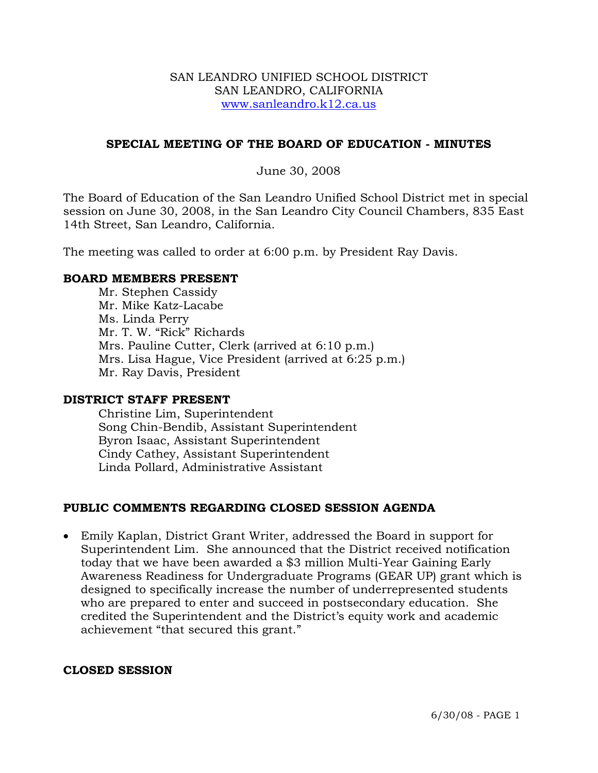#### SAN LEANDRO UNIFIED SCHOOL DISTRICT SAN LEANDRO, CALIFORNIA www.sanleandro.k12.ca.us

### **SPECIAL MEETING OF THE BOARD OF EDUCATION - MINUTES**

#### June 30, 2008

The Board of Education of the San Leandro Unified School District met in special session on June 30, 2008, in the San Leandro City Council Chambers, 835 East 14th Street, San Leandro, California.

The meeting was called to order at 6:00 p.m. by President Ray Davis.

#### **BOARD MEMBERS PRESENT**

Mr. Stephen Cassidy Mr. Mike Katz-Lacabe Ms. Linda Perry Mr. T. W. "Rick" Richards Mrs. Pauline Cutter, Clerk (arrived at 6:10 p.m.) Mrs. Lisa Hague, Vice President (arrived at 6:25 p.m.) Mr. Ray Davis, President

#### **DISTRICT STAFF PRESENT**

Christine Lim, Superintendent Song Chin-Bendib, Assistant Superintendent Byron Isaac, Assistant Superintendent Cindy Cathey, Assistant Superintendent Linda Pollard, Administrative Assistant

# **PUBLIC COMMENTS REGARDING CLOSED SESSION AGENDA**

• Emily Kaplan, District Grant Writer, addressed the Board in support for Superintendent Lim. She announced that the District received notification today that we have been awarded a \$3 million Multi-Year Gaining Early Awareness Readiness for Undergraduate Programs (GEAR UP) grant which is designed to specifically increase the number of underrepresented students who are prepared to enter and succeed in postsecondary education. She credited the Superintendent and the District's equity work and academic achievement "that secured this grant."

#### **CLOSED SESSION**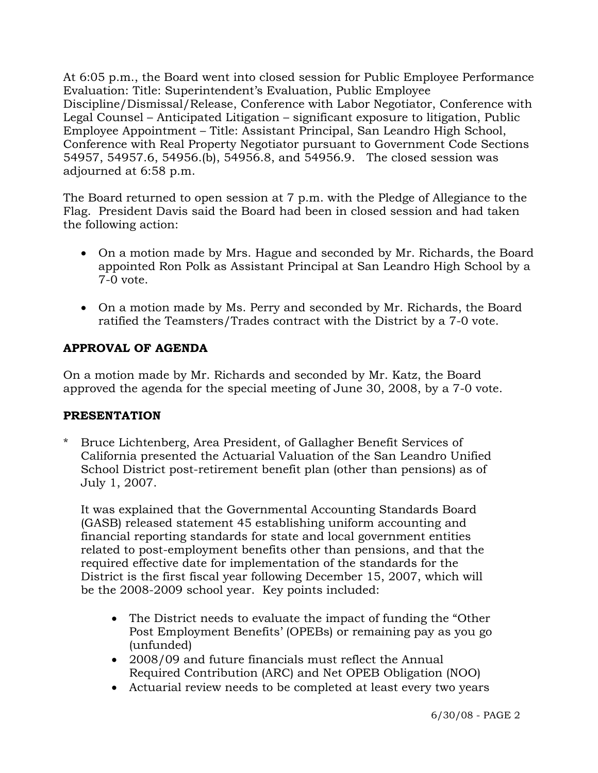At 6:05 p.m., the Board went into closed session for Public Employee Performance Evaluation: Title: Superintendent's Evaluation, Public Employee Discipline/Dismissal/Release, Conference with Labor Negotiator, Conference with Legal Counsel – Anticipated Litigation – significant exposure to litigation, Public Employee Appointment – Title: Assistant Principal, San Leandro High School, Conference with Real Property Negotiator pursuant to Government Code Sections 54957, 54957.6, 54956.(b), 54956.8, and 54956.9. The closed session was adjourned at 6:58 p.m.

The Board returned to open session at 7 p.m. with the Pledge of Allegiance to the Flag. President Davis said the Board had been in closed session and had taken the following action:

- On a motion made by Mrs. Hague and seconded by Mr. Richards, the Board appointed Ron Polk as Assistant Principal at San Leandro High School by a 7-0 vote.
- On a motion made by Ms. Perry and seconded by Mr. Richards, the Board ratified the Teamsters/Trades contract with the District by a 7-0 vote.

# **APPROVAL OF AGENDA**

On a motion made by Mr. Richards and seconded by Mr. Katz, the Board approved the agenda for the special meeting of June 30, 2008, by a 7-0 vote.

# **PRESENTATION**

\* Bruce Lichtenberg, Area President, of Gallagher Benefit Services of California presented the Actuarial Valuation of the San Leandro Unified School District post-retirement benefit plan (other than pensions) as of July 1, 2007.

 It was explained that the Governmental Accounting Standards Board (GASB) released statement 45 establishing uniform accounting and financial reporting standards for state and local government entities related to post-employment benefits other than pensions, and that the required effective date for implementation of the standards for the District is the first fiscal year following December 15, 2007, which will be the 2008-2009 school year. Key points included:

- The District needs to evaluate the impact of funding the "Other Post Employment Benefits' (OPEBs) or remaining pay as you go (unfunded)
- 2008/09 and future financials must reflect the Annual Required Contribution (ARC) and Net OPEB Obligation (NOO)
- Actuarial review needs to be completed at least every two years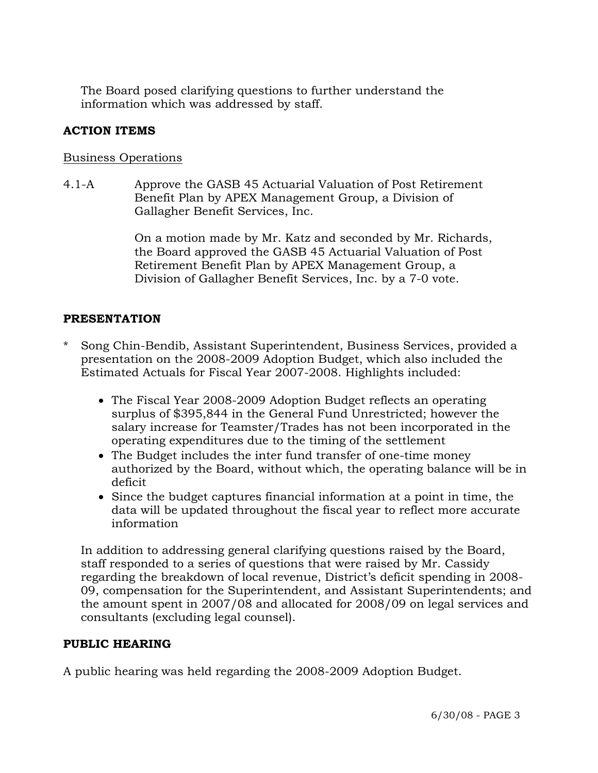The Board posed clarifying questions to further understand the information which was addressed by staff.

# **ACTION ITEMS**

### Business Operations

4.1-A Approve the GASB 45 Actuarial Valuation of Post Retirement Benefit Plan by APEX Management Group, a Division of Gallagher Benefit Services, Inc.

> On a motion made by Mr. Katz and seconded by Mr. Richards, the Board approved the GASB 45 Actuarial Valuation of Post Retirement Benefit Plan by APEX Management Group, a Division of Gallagher Benefit Services, Inc. by a 7-0 vote.

# **PRESENTATION**

- \* Song Chin-Bendib, Assistant Superintendent, Business Services, provided a presentation on the 2008-2009 Adoption Budget, which also included the Estimated Actuals for Fiscal Year 2007-2008. Highlights included:
	- The Fiscal Year 2008-2009 Adoption Budget reflects an operating surplus of \$395,844 in the General Fund Unrestricted; however the salary increase for Teamster/Trades has not been incorporated in the operating expenditures due to the timing of the settlement
	- The Budget includes the inter fund transfer of one-time money authorized by the Board, without which, the operating balance will be in deficit
	- Since the budget captures financial information at a point in time, the data will be updated throughout the fiscal year to reflect more accurate information

 In addition to addressing general clarifying questions raised by the Board, staff responded to a series of questions that were raised by Mr. Cassidy regarding the breakdown of local revenue, District's deficit spending in 2008- 09, compensation for the Superintendent, and Assistant Superintendents; and the amount spent in 2007/08 and allocated for 2008/09 on legal services and consultants (excluding legal counsel).

# **PUBLIC HEARING**

A public hearing was held regarding the 2008-2009 Adoption Budget.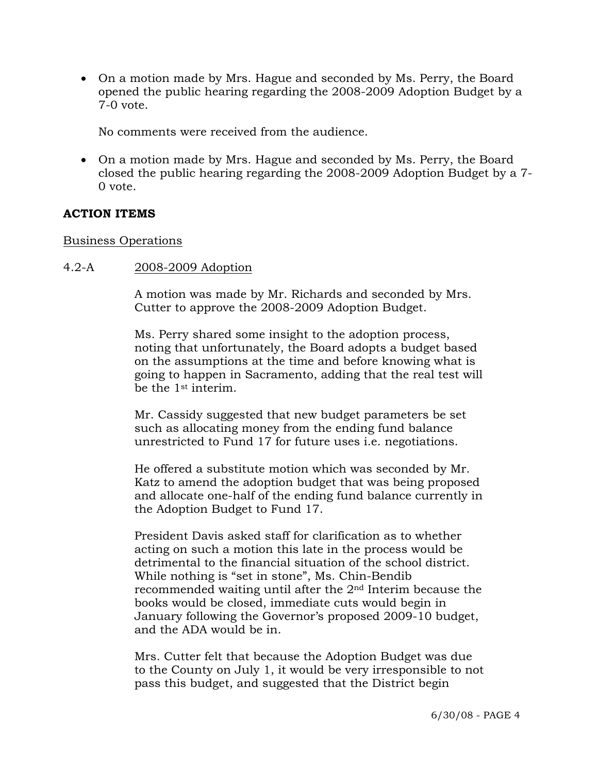• On a motion made by Mrs. Hague and seconded by Ms. Perry, the Board opened the public hearing regarding the 2008-2009 Adoption Budget by a 7-0 vote.

No comments were received from the audience.

• On a motion made by Mrs. Hague and seconded by Ms. Perry, the Board closed the public hearing regarding the 2008-2009 Adoption Budget by a 7- 0 vote.

### **ACTION ITEMS**

#### Business Operations

#### 4.2-A 2008-2009 Adoption

A motion was made by Mr. Richards and seconded by Mrs. Cutter to approve the 2008-2009 Adoption Budget.

Ms. Perry shared some insight to the adoption process, noting that unfortunately, the Board adopts a budget based on the assumptions at the time and before knowing what is going to happen in Sacramento, adding that the real test will be the 1st interim.

Mr. Cassidy suggested that new budget parameters be set such as allocating money from the ending fund balance unrestricted to Fund 17 for future uses i.e. negotiations.

He offered a substitute motion which was seconded by Mr. Katz to amend the adoption budget that was being proposed and allocate one-half of the ending fund balance currently in the Adoption Budget to Fund 17.

President Davis asked staff for clarification as to whether acting on such a motion this late in the process would be detrimental to the financial situation of the school district. While nothing is "set in stone", Ms. Chin-Bendib recommended waiting until after the 2nd Interim because the books would be closed, immediate cuts would begin in January following the Governor's proposed 2009-10 budget, and the ADA would be in.

Mrs. Cutter felt that because the Adoption Budget was due to the County on July 1, it would be very irresponsible to not pass this budget, and suggested that the District begin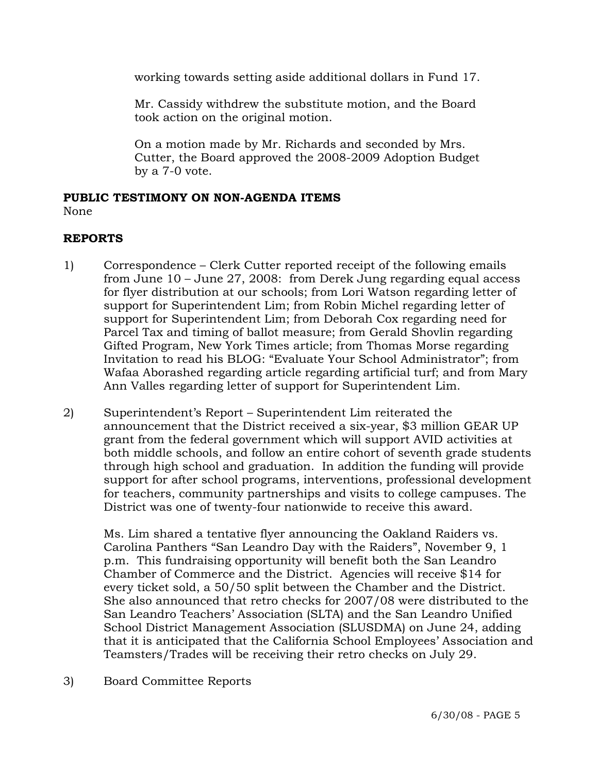working towards setting aside additional dollars in Fund 17.

Mr. Cassidy withdrew the substitute motion, and the Board took action on the original motion.

On a motion made by Mr. Richards and seconded by Mrs. Cutter, the Board approved the 2008-2009 Adoption Budget by a 7-0 vote.

#### **PUBLIC TESTIMONY ON NON-AGENDA ITEMS** None

# **REPORTS**

- 1) Correspondence Clerk Cutter reported receipt of the following emails from June 10 – June 27, 2008: from Derek Jung regarding equal access for flyer distribution at our schools; from Lori Watson regarding letter of support for Superintendent Lim; from Robin Michel regarding letter of support for Superintendent Lim; from Deborah Cox regarding need for Parcel Tax and timing of ballot measure; from Gerald Shovlin regarding Gifted Program, New York Times article; from Thomas Morse regarding Invitation to read his BLOG: "Evaluate Your School Administrator"; from Wafaa Aborashed regarding article regarding artificial turf; and from Mary Ann Valles regarding letter of support for Superintendent Lim.
- 2) Superintendent's Report Superintendent Lim reiterated the announcement that the District received a six-year, \$3 million GEAR UP grant from the federal government which will support AVID activities at both middle schools, and follow an entire cohort of seventh grade students through high school and graduation. In addition the funding will provide support for after school programs, interventions, professional development for teachers, community partnerships and visits to college campuses. The District was one of twenty-four nationwide to receive this award.

Ms. Lim shared a tentative flyer announcing the Oakland Raiders vs. Carolina Panthers "San Leandro Day with the Raiders", November 9, 1 p.m. This fundraising opportunity will benefit both the San Leandro Chamber of Commerce and the District. Agencies will receive \$14 for every ticket sold, a 50/50 split between the Chamber and the District. She also announced that retro checks for 2007/08 were distributed to the San Leandro Teachers' Association (SLTA) and the San Leandro Unified School District Management Association (SLUSDMA) on June 24, adding that it is anticipated that the California School Employees' Association and Teamsters/Trades will be receiving their retro checks on July 29.

3) Board Committee Reports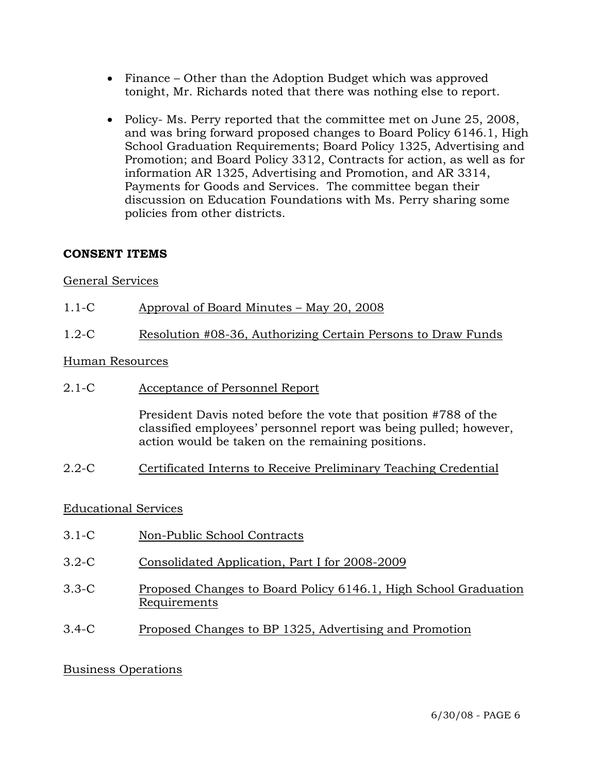- Finance Other than the Adoption Budget which was approved tonight, Mr. Richards noted that there was nothing else to report.
- Policy- Ms. Perry reported that the committee met on June 25, 2008, and was bring forward proposed changes to Board Policy 6146.1, High School Graduation Requirements; Board Policy 1325, Advertising and Promotion; and Board Policy 3312, Contracts for action, as well as for information AR 1325, Advertising and Promotion, and AR 3314, Payments for Goods and Services. The committee began their discussion on Education Foundations with Ms. Perry sharing some policies from other districts.

# **CONSENT ITEMS**

# General Services

- 1.1-C Approval of Board Minutes May 20, 2008
- 1.2-C Resolution #08-36, Authorizing Certain Persons to Draw Funds

### Human Resources

2.1-C Acceptance of Personnel Report

President Davis noted before the vote that position #788 of the classified employees' personnel report was being pulled; however, action would be taken on the remaining positions.

2.2-C Certificated Interns to Receive Preliminary Teaching Credential

# Educational Services

- 3.1-C Non-Public School Contracts
- 3.2-C Consolidated Application, Part I for 2008-2009
- 3.3-C Proposed Changes to Board Policy 6146.1, High School Graduation Requirements
- 3.4-C Proposed Changes to BP 1325, Advertising and Promotion

# Business Operations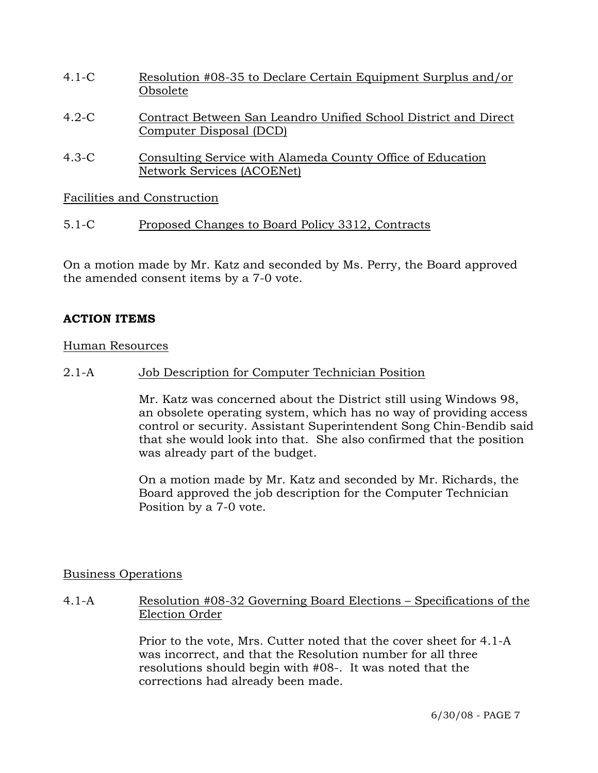- 4.1-C Resolution #08-35 to Declare Certain Equipment Surplus and/or Obsolete
- 4.2-C Contract Between San Leandro Unified School District and Direct Computer Disposal (DCD)
- 4.3-C Consulting Service with Alameda County Office of Education Network Services (ACOENet)

Facilities and Construction

5.1-C Proposed Changes to Board Policy 3312, Contracts

On a motion made by Mr. Katz and seconded by Ms. Perry, the Board approved the amended consent items by a 7-0 vote.

# **ACTION ITEMS**

# Human Resources

2.1-A Job Description for Computer Technician Position

Mr. Katz was concerned about the District still using Windows 98, an obsolete operating system, which has no way of providing access control or security. Assistant Superintendent Song Chin-Bendib said that she would look into that. She also confirmed that the position was already part of the budget.

On a motion made by Mr. Katz and seconded by Mr. Richards, the Board approved the job description for the Computer Technician Position by a 7-0 vote.

# Business Operations

4.1-A Resolution #08-32 Governing Board Elections – Specifications of the Election Order

> Prior to the vote, Mrs. Cutter noted that the cover sheet for 4.1-A was incorrect, and that the Resolution number for all three resolutions should begin with #08-. It was noted that the corrections had already been made.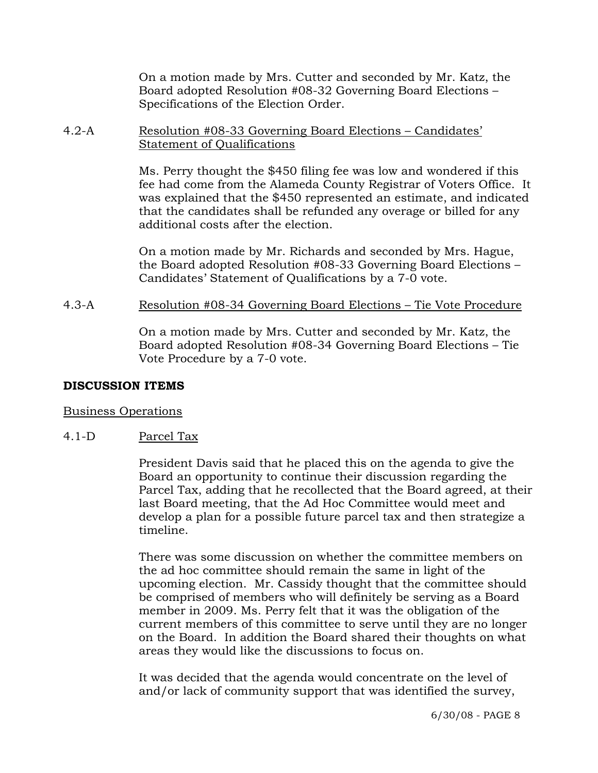On a motion made by Mrs. Cutter and seconded by Mr. Katz, the Board adopted Resolution #08-32 Governing Board Elections – Specifications of the Election Order.

#### 4.2-A Resolution #08-33 Governing Board Elections – Candidates' Statement of Qualifications

Ms. Perry thought the \$450 filing fee was low and wondered if this fee had come from the Alameda County Registrar of Voters Office. It was explained that the \$450 represented an estimate, and indicated that the candidates shall be refunded any overage or billed for any additional costs after the election.

On a motion made by Mr. Richards and seconded by Mrs. Hague, the Board adopted Resolution #08-33 Governing Board Elections – Candidates' Statement of Qualifications by a 7-0 vote.

### 4.3-A Resolution #08-34 Governing Board Elections – Tie Vote Procedure

On a motion made by Mrs. Cutter and seconded by Mr. Katz, the Board adopted Resolution #08-34 Governing Board Elections – Tie Vote Procedure by a 7-0 vote.

# **DISCUSSION ITEMS**

#### Business Operations

# 4.1-D Parcel Tax

President Davis said that he placed this on the agenda to give the Board an opportunity to continue their discussion regarding the Parcel Tax, adding that he recollected that the Board agreed, at their last Board meeting, that the Ad Hoc Committee would meet and develop a plan for a possible future parcel tax and then strategize a timeline.

There was some discussion on whether the committee members on the ad hoc committee should remain the same in light of the upcoming election. Mr. Cassidy thought that the committee should be comprised of members who will definitely be serving as a Board member in 2009. Ms. Perry felt that it was the obligation of the current members of this committee to serve until they are no longer on the Board. In addition the Board shared their thoughts on what areas they would like the discussions to focus on.

It was decided that the agenda would concentrate on the level of and/or lack of community support that was identified the survey,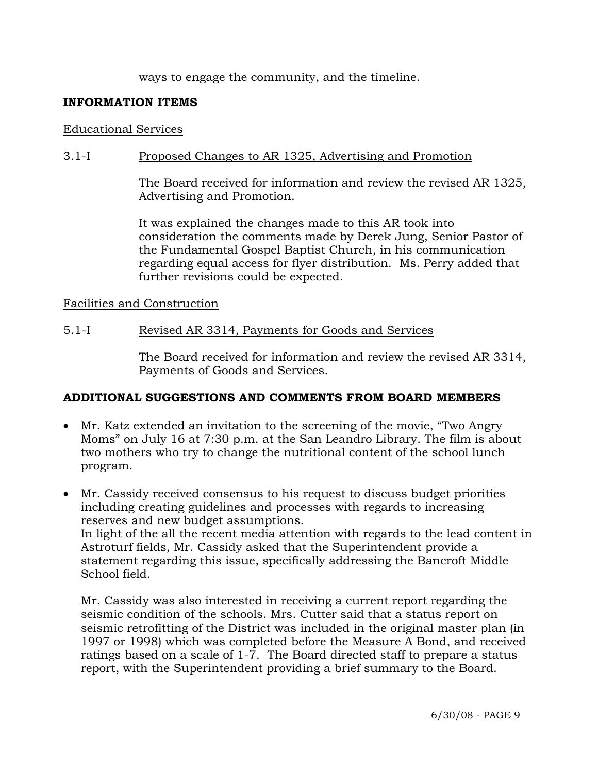ways to engage the community, and the timeline.

### **INFORMATION ITEMS**

#### Educational Services

### 3.1-I Proposed Changes to AR 1325, Advertising and Promotion

The Board received for information and review the revised AR 1325, Advertising and Promotion.

It was explained the changes made to this AR took into consideration the comments made by Derek Jung, Senior Pastor of the Fundamental Gospel Baptist Church, in his communication regarding equal access for flyer distribution. Ms. Perry added that further revisions could be expected.

#### Facilities and Construction

#### 5.1-I Revised AR 3314, Payments for Goods and Services

The Board received for information and review the revised AR 3314, Payments of Goods and Services.

#### **ADDITIONAL SUGGESTIONS AND COMMENTS FROM BOARD MEMBERS**

- Mr. Katz extended an invitation to the screening of the movie, "Two Angry" Moms" on July 16 at 7:30 p.m. at the San Leandro Library. The film is about two mothers who try to change the nutritional content of the school lunch program.
- Mr. Cassidy received consensus to his request to discuss budget priorities including creating guidelines and processes with regards to increasing reserves and new budget assumptions. In light of the all the recent media attention with regards to the lead content in Astroturf fields, Mr. Cassidy asked that the Superintendent provide a statement regarding this issue, specifically addressing the Bancroft Middle School field.

Mr. Cassidy was also interested in receiving a current report regarding the seismic condition of the schools. Mrs. Cutter said that a status report on seismic retrofitting of the District was included in the original master plan (in 1997 or 1998) which was completed before the Measure A Bond, and received ratings based on a scale of 1-7. The Board directed staff to prepare a status report, with the Superintendent providing a brief summary to the Board.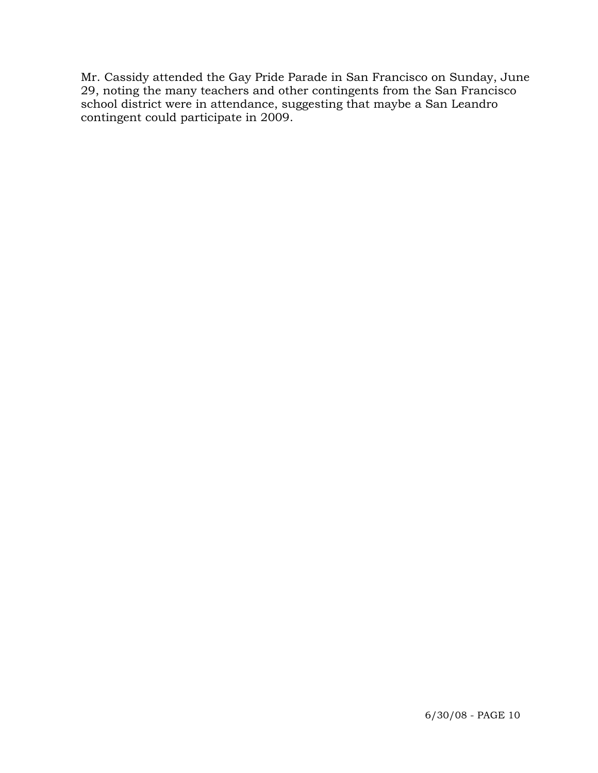Mr. Cassidy attended the Gay Pride Parade in San Francisco on Sunday, June 29, noting the many teachers and other contingents from the San Francisco school district were in attendance, suggesting that maybe a San Leandro contingent could participate in 2009.